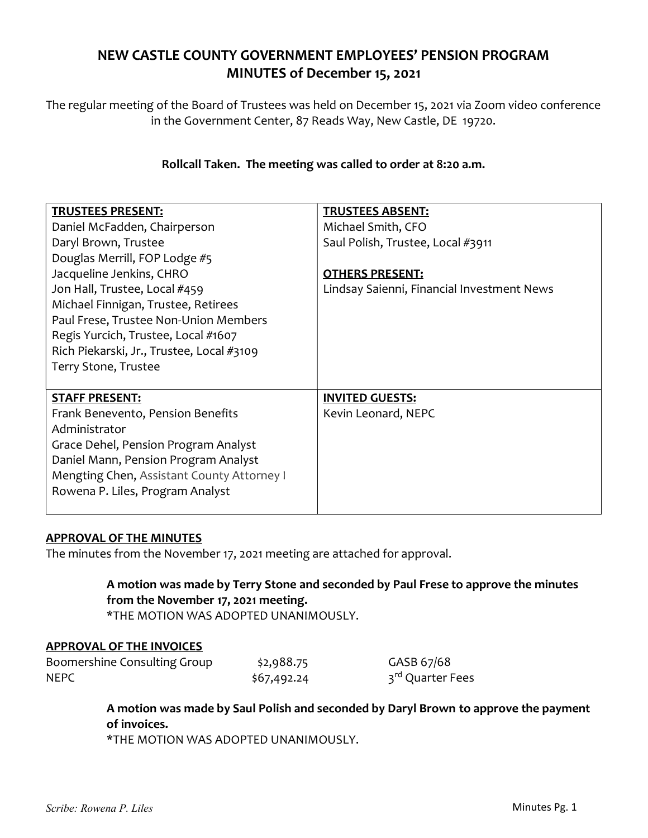## NEW CASTLE COUNTY GOVERNMENT EMPLOYEES' PENSION PROGRAM MINUTES of December 15, 2021

The regular meeting of the Board of Trustees was held on December 15, 2021 via Zoom video conference in the Government Center, 87 Reads Way, New Castle, DE 19720.

## Rollcall Taken. The meeting was called to order at 8:20 a.m.

| <b>TRUSTEES PRESENT:</b>                   | <b>TRUSTEES ABSENT:</b>                    |
|--------------------------------------------|--------------------------------------------|
| Daniel McFadden, Chairperson               | Michael Smith, CFO                         |
| Daryl Brown, Trustee                       | Saul Polish, Trustee, Local #3911          |
| Douglas Merrill, FOP Lodge #5              |                                            |
| Jacqueline Jenkins, CHRO                   | <b>OTHERS PRESENT:</b>                     |
| Jon Hall, Trustee, Local #459              | Lindsay Saienni, Financial Investment News |
| Michael Finnigan, Trustee, Retirees        |                                            |
| Paul Frese, Trustee Non-Union Members      |                                            |
| Regis Yurcich, Trustee, Local #1607        |                                            |
| Rich Piekarski, Jr., Trustee, Local #3109  |                                            |
|                                            |                                            |
| Terry Stone, Trustee                       |                                            |
|                                            |                                            |
| <b>STAFF PRESENT:</b>                      | <b>INVITED GUESTS:</b>                     |
| Frank Benevento, Pension Benefits          | Kevin Leonard, NEPC                        |
| Administrator                              |                                            |
| Grace Dehel, Pension Program Analyst       |                                            |
| Daniel Mann, Pension Program Analyst       |                                            |
| Mengting Chen, Assistant County Attorney I |                                            |
| Rowena P. Liles, Program Analyst           |                                            |

#### APPROVAL OF THE MINUTES

The minutes from the November 17, 2021 meeting are attached for approval.

A motion was made by Terry Stone and seconded by Paul Frese to approve the minutes from the November 17, 2021 meeting. \*THE MOTION WAS ADOPTED UNANIMOUSLY.

# APPROVAL OF THE INVOICES

| Boomershine Consulting Group | \$2,988.75  | GASB 67/68       |
|------------------------------|-------------|------------------|
| <b>NEPC</b>                  | \$67,492.24 | 3rd Quarter Fees |

A motion was made by Saul Polish and seconded by Daryl Brown to approve the payment of invoices.

\*THE MOTION WAS ADOPTED UNANIMOUSLY.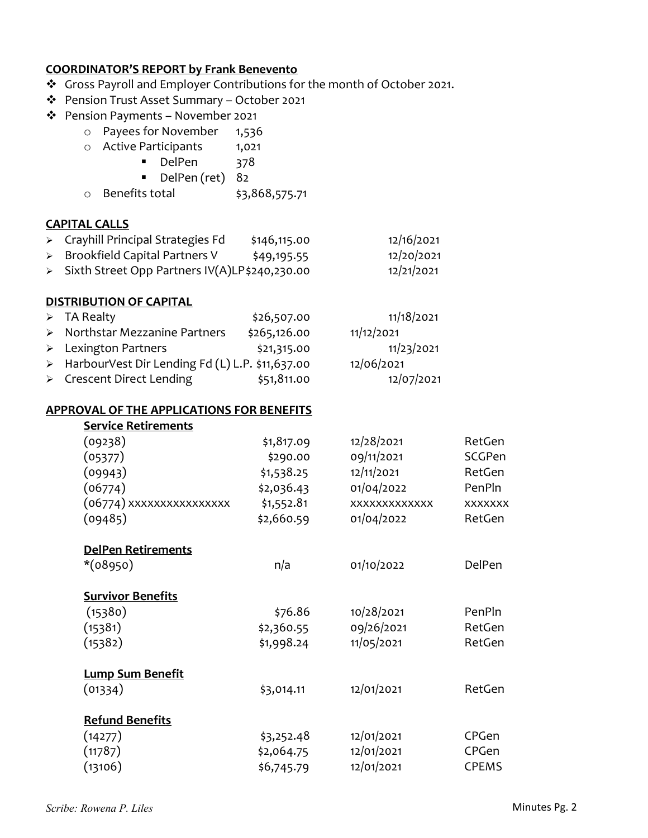#### COORDINATOR'S REPORT by Frank Benevento

- \* Gross Payroll and Employer Contributions for the month of October 2021.
- Pension Trust Asset Summary October 2021
- Pension Payments November 2021
	- o Payees for November 1,536
		- o Active Participants 1,021<br>DelPen 378
			- **DelPen**
			- DelPen (ret) 82
		- o Benefits total \$3,868,575.71

#### CAPITAL CALLS

- > Crayhill Principal Strategies Fd \$146,115.00 12/16/2021 > Brookfield Capital Partners V  $\frac{1}{2}$  \$49,195.55 12/20/2021
- > Sixth Street Opp Partners IV(A)LP \$240,230.00 12/21/2021
- 

#### DISTRIBUTION OF CAPITAL

| $\triangleright$ TA Realty                        | \$26,507.00  | 11/18/2021 |
|---------------------------------------------------|--------------|------------|
| $\triangleright$ Northstar Mezzanine Partners     | \$265,126.00 | 11/12/2021 |
| $\triangleright$ Lexington Partners               | \$21,315.00  | 11/23/2021 |
| > HarbourVest Dir Lending Fd (L) L.P. \$11,637.00 |              | 12/06/2021 |
| > Crescent Direct Lending                         | \$51,811.00  | 12/07/2021 |

#### APPROVAL OF THE APPLICATIONS FOR BENEFITS

| <b>Service Retirements</b> |            |               |                |
|----------------------------|------------|---------------|----------------|
| (09238)                    | \$1,817.09 | 12/28/2021    | RetGen         |
| (05377)                    | \$290.00   | 09/11/2021    | SCGPen         |
| (09943)                    | \$1,538.25 | 12/11/2021    | RetGen         |
| (06774)                    | \$2,036.43 | 01/04/2022    | PenPln         |
| (06774) xxxxxxxxxxxxxxx    | \$1,552.81 | XXXXXXXXXXXXX | <b>XXXXXXX</b> |
| (09485)                    | \$2,660.59 | 01/04/2022    | RetGen         |
| <b>DelPen Retirements</b>  |            |               |                |
| $*(08950)$                 | n/a        | 01/10/2022    | DelPen         |
| <b>Survivor Benefits</b>   |            |               |                |
| (15380)                    | \$76.86    | 10/28/2021    | PenPln         |
| (15381)                    | \$2,360.55 | 09/26/2021    | RetGen         |
| (15382)                    | \$1,998.24 | 11/05/2021    | RetGen         |
| <b>Lump Sum Benefit</b>    |            |               |                |
| (01334)                    | \$3,014.11 | 12/01/2021    | RetGen         |
| <b>Refund Benefits</b>     |            |               |                |
| (14277)                    | \$3,252.48 | 12/01/2021    | CPGen          |
| (11787)                    | \$2,064.75 | 12/01/2021    | CPGen          |
| (13106)                    | \$6,745.79 | 12/01/2021    | <b>CPEMS</b>   |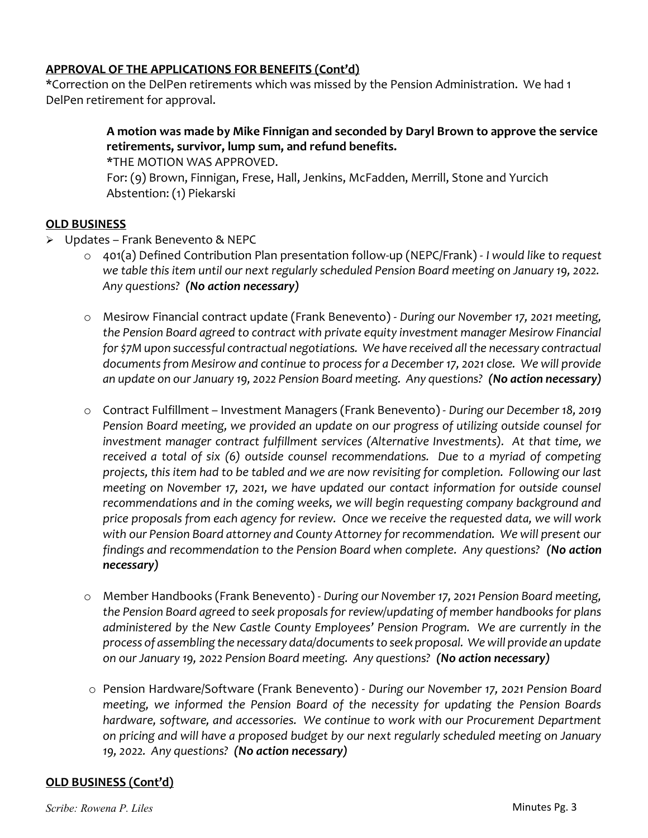## APPROVAL OF THE APPLICATIONS FOR BENEFITS (Cont'd)

\*Correction on the DelPen retirements which was missed by the Pension Administration. We had 1 DelPen retirement for approval.

## A motion was made by Mike Finnigan and seconded by Daryl Brown to approve the service retirements, survivor, lump sum, and refund benefits.

\*THE MOTION WAS APPROVED.

For: (9) Brown, Finnigan, Frese, Hall, Jenkins, McFadden, Merrill, Stone and Yurcich Abstention: (1) Piekarski

## OLD BUSINESS

- Updates Frank Benevento & NEPC
	- o 401(a) Defined Contribution Plan presentation follow-up (NEPC/Frank) I would like to request we table this item until our next regularly scheduled Pension Board meeting on January 19, 2022. Any questions? (No action necessary)
	- o Mesirow Financial contract update (Frank Benevento) During our November 17, 2021 meeting, the Pension Board agreed to contract with private equity investment manager Mesirow Financial for \$7M upon successful contractual negotiations. We have received all the necessary contractual documents from Mesirow and continue to process for a December 17, 2021 close. We will provide an update on our January 19, 2022 Pension Board meeting. Any questions? (No action necessary)
	- o Contract Fulfillment Investment Managers (Frank Benevento) During our December 18, 2019 Pension Board meeting, we provided an update on our progress of utilizing outside counsel for investment manager contract fulfillment services (Alternative Investments). At that time, we received a total of six (6) outside counsel recommendations. Due to a myriad of competing projects, this item had to be tabled and we are now revisiting for completion. Following our last meeting on November 17, 2021, we have updated our contact information for outside counsel recommendations and in the coming weeks, we will begin requesting company background and price proposals from each agency for review. Once we receive the requested data, we will work with our Pension Board attorney and County Attorney for recommendation. We will present our findings and recommendation to the Pension Board when complete. Any questions? (No action necessary)
	- o Member Handbooks (Frank Benevento) During our November 17, 2021 Pension Board meeting, the Pension Board agreed to seek proposals for review/updating of member handbooks for plans administered by the New Castle County Employees' Pension Program. We are currently in the process of assembling the necessary data/documents to seek proposal. We will provide an update on our January 19, 2022 Pension Board meeting. Any questions? (No action necessary)
	- o Pension Hardware/Software (Frank Benevento) During our November 17, 2021 Pension Board meeting, we informed the Pension Board of the necessity for updating the Pension Boards hardware, software, and accessories. We continue to work with our Procurement Department on pricing and will have a proposed budget by our next regularly scheduled meeting on January 19, 2022. Any questions? (No action necessary)

## OLD BUSINESS (Cont'd)